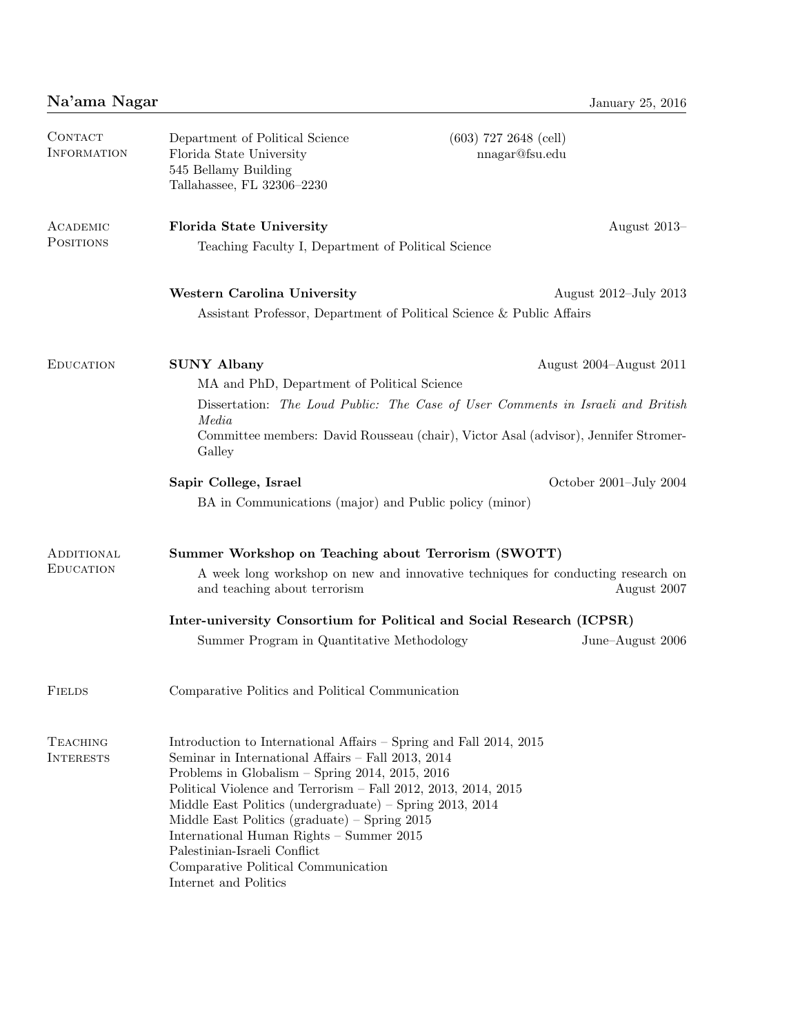| CONTACT<br><b>INFORMATION</b>       | Department of Political Science<br>Florida State University<br>545 Bellamy Building<br>Tallahassee, FL 32306-2230                                                                                                                                                                                                                                                                                                                                                                                            | $(603)$ 727 2648 (cell)<br>nnagar@fsu.edu                                                                                                                                                                                   |
|-------------------------------------|--------------------------------------------------------------------------------------------------------------------------------------------------------------------------------------------------------------------------------------------------------------------------------------------------------------------------------------------------------------------------------------------------------------------------------------------------------------------------------------------------------------|-----------------------------------------------------------------------------------------------------------------------------------------------------------------------------------------------------------------------------|
| ACADEMIC<br><b>POSITIONS</b>        | <b>Florida State University</b><br>Teaching Faculty I, Department of Political Science                                                                                                                                                                                                                                                                                                                                                                                                                       | August 2013-                                                                                                                                                                                                                |
|                                     | Western Carolina University<br>Assistant Professor, Department of Political Science & Public Affairs                                                                                                                                                                                                                                                                                                                                                                                                         | August 2012–July 2013                                                                                                                                                                                                       |
| <b>EDUCATION</b>                    | <b>SUNY Albany</b><br>MA and PhD, Department of Political Science<br>Media<br>Galley<br>Sapir College, Israel<br>BA in Communications (major) and Public policy (minor)                                                                                                                                                                                                                                                                                                                                      | August 2004–August 2011<br>Dissertation: The Loud Public: The Case of User Comments in Israeli and British<br>Committee members: David Rousseau (chair), Victor Asal (advisor), Jennifer Stromer-<br>October 2001-July 2004 |
| ADDITIONAL<br><b>EDUCATION</b>      | Summer Workshop on Teaching about Terrorism (SWOTT)<br>and teaching about terrorism<br>Summer Program in Quantitative Methodology                                                                                                                                                                                                                                                                                                                                                                            | A week long workshop on new and innovative techniques for conducting research on<br>August 2007<br>Inter-university Consortium for Political and Social Research (ICPSR)<br>June-August 2006                                |
| <b>FIELDS</b>                       | Comparative Politics and Political Communication                                                                                                                                                                                                                                                                                                                                                                                                                                                             |                                                                                                                                                                                                                             |
| <b>TEACHING</b><br><b>INTERESTS</b> | Introduction to International Affairs – Spring and Fall 2014, 2015<br>Seminar in International Affairs - Fall 2013, 2014<br>Problems in Globalism $-$ Spring 2014, 2015, 2016<br>Political Violence and Terrorism - Fall 2012, 2013, 2014, 2015<br>Middle East Politics (undergraduate) $-$ Spring 2013, 2014<br>Middle East Politics (graduate) $-$ Spring 2015<br>International Human Rights - Summer 2015<br>Palestinian-Israeli Conflict<br>Comparative Political Communication<br>Internet and Politics |                                                                                                                                                                                                                             |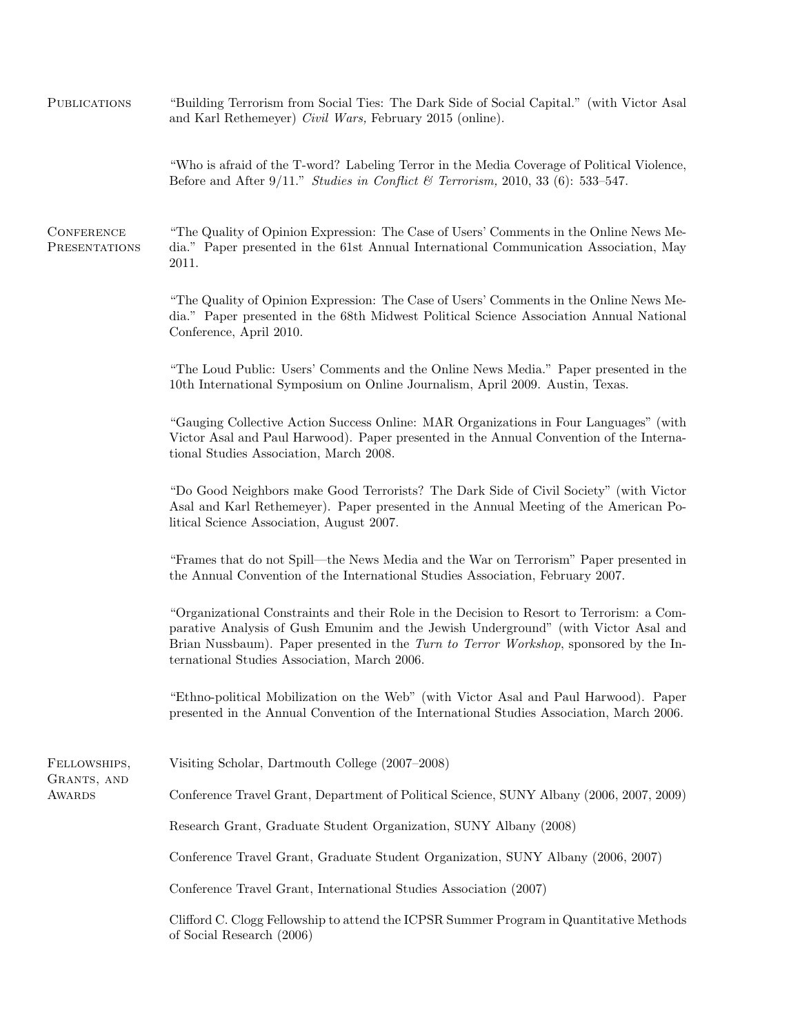| <b>PUBLICATIONS</b>                | "Building Terrorism from Social Ties: The Dark Side of Social Capital." (with Victor Asal<br>and Karl Rethemeyer) Civil Wars, February 2015 (online).                                                                                                                                                                    |  |
|------------------------------------|--------------------------------------------------------------------------------------------------------------------------------------------------------------------------------------------------------------------------------------------------------------------------------------------------------------------------|--|
|                                    | "Who is afraid of the T-word? Labeling Terror in the Media Coverage of Political Violence,<br>Before and After 9/11." Studies in Conflict & Terrorism, 2010, 33 (6): 533-547.                                                                                                                                            |  |
| <b>CONFERENCE</b><br>PRESENTATIONS | "The Quality of Opinion Expression: The Case of Users' Comments in the Online News Me-<br>dia." Paper presented in the 61st Annual International Communication Association, May<br>2011.                                                                                                                                 |  |
|                                    | "The Quality of Opinion Expression: The Case of Users' Comments in the Online News Me-<br>dia." Paper presented in the 68th Midwest Political Science Association Annual National<br>Conference, April 2010.                                                                                                             |  |
|                                    | "The Loud Public: Users' Comments and the Online News Media." Paper presented in the<br>10th International Symposium on Online Journalism, April 2009. Austin, Texas.                                                                                                                                                    |  |
|                                    | "Gauging Collective Action Success Online: MAR Organizations in Four Languages" (with<br>Victor Asal and Paul Harwood). Paper presented in the Annual Convention of the Interna-<br>tional Studies Association, March 2008.                                                                                              |  |
|                                    | "Do Good Neighbors make Good Terrorists? The Dark Side of Civil Society" (with Victor<br>Asal and Karl Rethemeyer). Paper presented in the Annual Meeting of the American Po-<br>litical Science Association, August 2007.                                                                                               |  |
|                                    | "Frames that do not Spill—the News Media and the War on Terrorism" Paper presented in<br>the Annual Convention of the International Studies Association, February 2007.                                                                                                                                                  |  |
|                                    | "Organizational Constraints and their Role in the Decision to Resort to Terrorism: a Com-<br>parative Analysis of Gush Emunim and the Jewish Underground" (with Victor Asal and<br>Brian Nussbaum). Paper presented in the Turn to Terror Workshop, sponsored by the In-<br>ternational Studies Association, March 2006. |  |
|                                    | "Ethno-political Mobilization on the Web" (with Victor Asal and Paul Harwood). Paper<br>presented in the Annual Convention of the International Studies Association, March 2006.                                                                                                                                         |  |
| FELLOWSHIPS,                       | Visiting Scholar, Dartmouth College (2007–2008)                                                                                                                                                                                                                                                                          |  |
| GRANTS, AND<br>AWARDS              | Conference Travel Grant, Department of Political Science, SUNY Albany (2006, 2007, 2009)                                                                                                                                                                                                                                 |  |
|                                    | Research Grant, Graduate Student Organization, SUNY Albany (2008)                                                                                                                                                                                                                                                        |  |
|                                    | Conference Travel Grant, Graduate Student Organization, SUNY Albany (2006, 2007)                                                                                                                                                                                                                                         |  |
|                                    | Conference Travel Grant, International Studies Association (2007)                                                                                                                                                                                                                                                        |  |
|                                    | Clifford C. Clogg Fellowship to attend the ICPSR Summer Program in Quantitative Methods<br>of Social Research (2006)                                                                                                                                                                                                     |  |